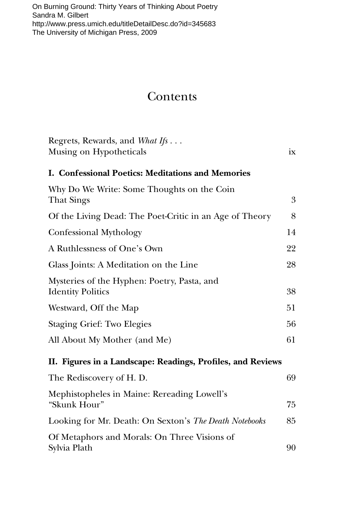[On Burning Ground: Thirty Years of Thinking About Poetry](http://www.press.umich.edu/titleDetailDesc.do?id=345683)  Sandra M. Gilbert http://www.press.umich.edu/titleDetailDesc.do?id=345683 The University of Michigan Press, 2009

## **Contents**

| Regrets, Rewards, and <i>What Ifs</i><br>Musing on Hypotheticals        | ix |
|-------------------------------------------------------------------------|----|
| I. Confessional Poetics: Meditations and Memories                       |    |
|                                                                         |    |
| Why Do We Write: Some Thoughts on the Coin<br>That Sings                | 3  |
| Of the Living Dead: The Poet-Critic in an Age of Theory                 | 8  |
| Confessional Mythology                                                  | 14 |
| A Ruthlessness of One's Own                                             | 22 |
| Glass Joints: A Meditation on the Line                                  | 28 |
| Mysteries of the Hyphen: Poetry, Pasta, and<br><b>Identity Politics</b> | 38 |
| Westward, Off the Map                                                   | 51 |
| <b>Staging Grief: Two Elegies</b>                                       | 56 |
| All About My Mother (and Me)                                            | 61 |
| II. Figures in a Landscape: Readings, Profiles, and Reviews             |    |
| The Rediscovery of H. D.                                                | 69 |
| Mephistopheles in Maine: Rereading Lowell's<br>"Skunk Hour"             | 75 |
| Looking for Mr. Death: On Sexton's The Death Notebooks                  | 85 |
| Of Metaphors and Morals: On Three Visions of<br>Sylvia Plath            | 90 |